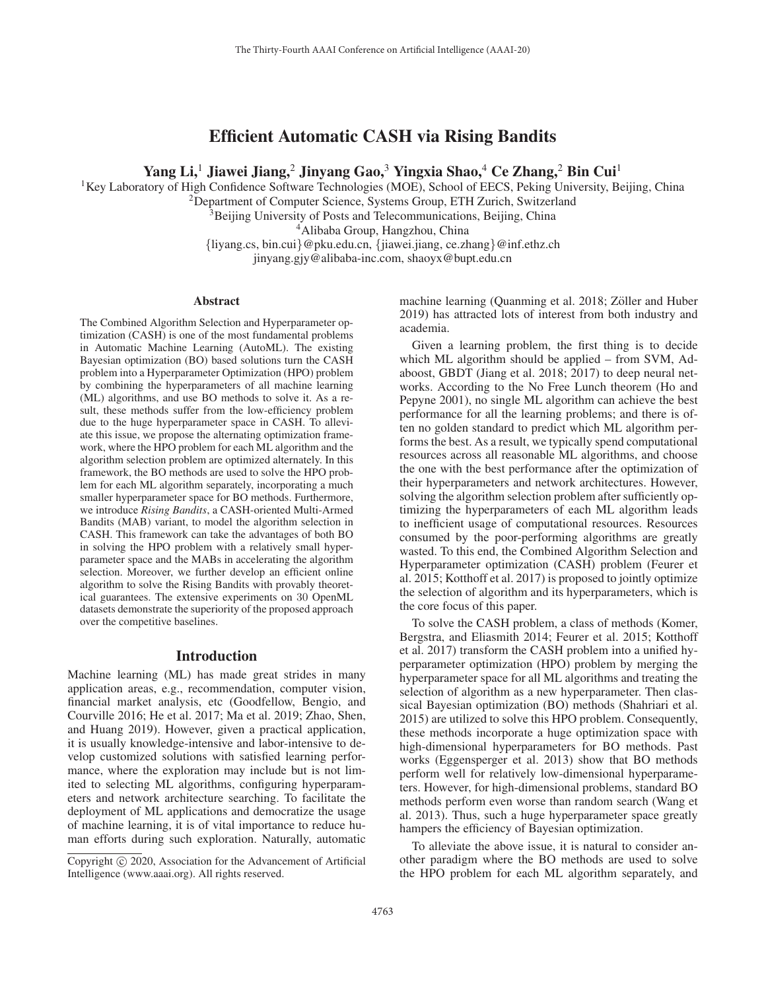# Efficient Automatic CASH via Rising Bandits

Yang Li,<sup>1</sup> Jiawei Jiang,<sup>2</sup> Jinyang Gao,<sup>3</sup> Yingxia Shao,<sup>4</sup> Ce Zhang,<sup>2</sup> Bin Cui<sup>1</sup>

<sup>1</sup>Key Laboratory of High Confidence Software Technologies (MOE), School of EECS, Peking University, Beijing, China

<sup>2</sup>Department of Computer Science, Systems Group, ETH Zurich, Switzerland <sup>3</sup>Beijing University of Posts and Telecommunications, Beijing, China

4Alibaba Group, Hangzhou, China

{liyang.cs, bin.cui}@pku.edu.cn, {jiawei.jiang, ce.zhang}@inf.ethz.ch

jinyang.gjy@alibaba-inc.com, shaoyx@bupt.edu.cn

#### Abstract

The Combined Algorithm Selection and Hyperparameter optimization (CASH) is one of the most fundamental problems in Automatic Machine Learning (AutoML). The existing Bayesian optimization (BO) based solutions turn the CASH problem into a Hyperparameter Optimization (HPO) problem by combining the hyperparameters of all machine learning (ML) algorithms, and use BO methods to solve it. As a result, these methods suffer from the low-efficiency problem due to the huge hyperparameter space in CASH. To alleviate this issue, we propose the alternating optimization framework, where the HPO problem for each ML algorithm and the algorithm selection problem are optimized alternately. In this framework, the BO methods are used to solve the HPO problem for each ML algorithm separately, incorporating a much smaller hyperparameter space for BO methods. Furthermore, we introduce *Rising Bandits*, a CASH-oriented Multi-Armed Bandits (MAB) variant, to model the algorithm selection in CASH. This framework can take the advantages of both BO in solving the HPO problem with a relatively small hyperparameter space and the MABs in accelerating the algorithm selection. Moreover, we further develop an efficient online algorithm to solve the Rising Bandits with provably theoretical guarantees. The extensive experiments on 30 OpenML datasets demonstrate the superiority of the proposed approach over the competitive baselines.

#### Introduction

Machine learning (ML) has made great strides in many application areas, e.g., recommendation, computer vision, financial market analysis, etc (Goodfellow, Bengio, and Courville 2016; He et al. 2017; Ma et al. 2019; Zhao, Shen, and Huang 2019). However, given a practical application, it is usually knowledge-intensive and labor-intensive to develop customized solutions with satisfied learning performance, where the exploration may include but is not limited to selecting ML algorithms, configuring hyperparameters and network architecture searching. To facilitate the deployment of ML applications and democratize the usage of machine learning, it is of vital importance to reduce human efforts during such exploration. Naturally, automatic

machine learning (Quanming et al. 2018; Zöller and Huber 2019) has attracted lots of interest from both industry and academia.

Given a learning problem, the first thing is to decide which ML algorithm should be applied – from SVM, Adaboost, GBDT (Jiang et al. 2018; 2017) to deep neural networks. According to the No Free Lunch theorem (Ho and Pepyne 2001), no single ML algorithm can achieve the best performance for all the learning problems; and there is often no golden standard to predict which ML algorithm performs the best. As a result, we typically spend computational resources across all reasonable ML algorithms, and choose the one with the best performance after the optimization of their hyperparameters and network architectures. However, solving the algorithm selection problem after sufficiently optimizing the hyperparameters of each ML algorithm leads to inefficient usage of computational resources. Resources consumed by the poor-performing algorithms are greatly wasted. To this end, the Combined Algorithm Selection and Hyperparameter optimization (CASH) problem (Feurer et al. 2015; Kotthoff et al. 2017) is proposed to jointly optimize the selection of algorithm and its hyperparameters, which is the core focus of this paper.

To solve the CASH problem, a class of methods (Komer, Bergstra, and Eliasmith 2014; Feurer et al. 2015; Kotthoff et al. 2017) transform the CASH problem into a unified hyperparameter optimization (HPO) problem by merging the hyperparameter space for all ML algorithms and treating the selection of algorithm as a new hyperparameter. Then classical Bayesian optimization (BO) methods (Shahriari et al. 2015) are utilized to solve this HPO problem. Consequently, these methods incorporate a huge optimization space with high-dimensional hyperparameters for BO methods. Past works (Eggensperger et al. 2013) show that BO methods perform well for relatively low-dimensional hyperparameters. However, for high-dimensional problems, standard BO methods perform even worse than random search (Wang et al. 2013). Thus, such a huge hyperparameter space greatly hampers the efficiency of Bayesian optimization.

To alleviate the above issue, it is natural to consider another paradigm where the BO methods are used to solve the HPO problem for each ML algorithm separately, and

Copyright  $\odot$  2020, Association for the Advancement of Artificial Intelligence (www.aaai.org). All rights reserved.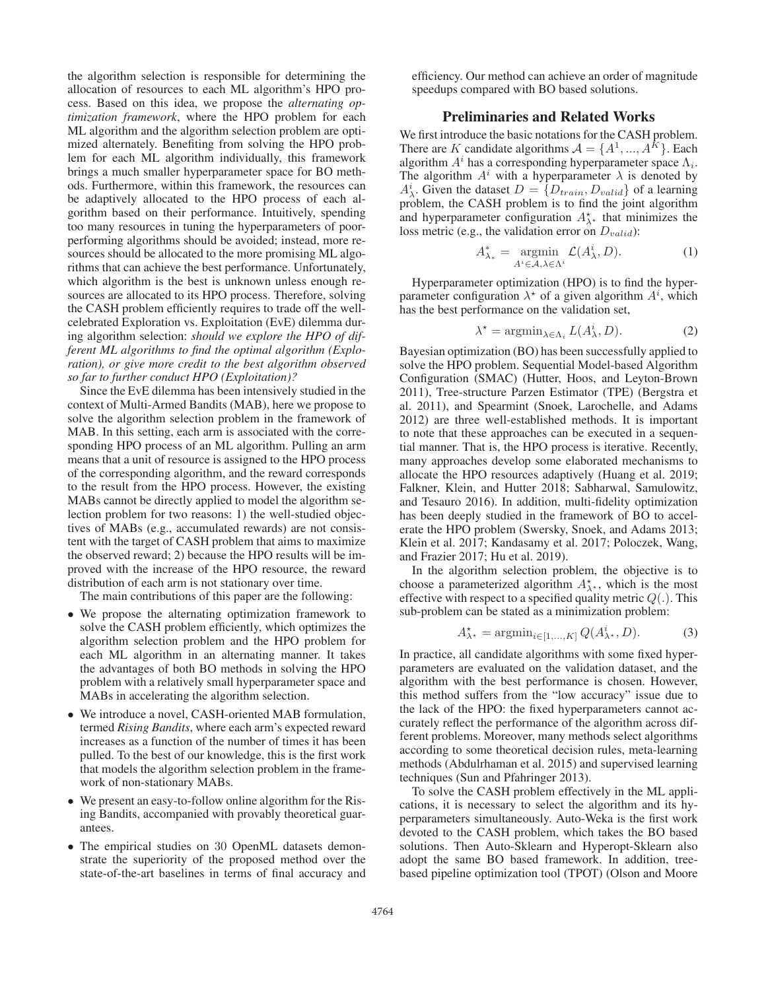the algorithm selection is responsible for determining the allocation of resources to each ML algorithm's HPO process. Based on this idea, we propose the *alternating optimization framework*, where the HPO problem for each ML algorithm and the algorithm selection problem are optimized alternately. Benefiting from solving the HPO problem for each ML algorithm individually, this framework brings a much smaller hyperparameter space for BO methods. Furthermore, within this framework, the resources can be adaptively allocated to the HPO process of each algorithm based on their performance. Intuitively, spending too many resources in tuning the hyperparameters of poorperforming algorithms should be avoided; instead, more resources should be allocated to the more promising ML algorithms that can achieve the best performance. Unfortunately, which algorithm is the best is unknown unless enough resources are allocated to its HPO process. Therefore, solving the CASH problem efficiently requires to trade off the wellcelebrated Exploration vs. Exploitation (EvE) dilemma during algorithm selection: *should we explore the HPO of different ML algorithms to find the optimal algorithm (Exploration), or give more credit to the best algorithm observed so far to further conduct HPO (Exploitation)?*

Since the EvE dilemma has been intensively studied in the context of Multi-Armed Bandits (MAB), here we propose to solve the algorithm selection problem in the framework of MAB. In this setting, each arm is associated with the corresponding HPO process of an ML algorithm. Pulling an arm means that a unit of resource is assigned to the HPO process of the corresponding algorithm, and the reward corresponds to the result from the HPO process. However, the existing MABs cannot be directly applied to model the algorithm selection problem for two reasons: 1) the well-studied objectives of MABs (e.g., accumulated rewards) are not consistent with the target of CASH problem that aims to maximize the observed reward; 2) because the HPO results will be improved with the increase of the HPO resource, the reward distribution of each arm is not stationary over time.

The main contributions of this paper are the following:

- We propose the alternating optimization framework to solve the CASH problem efficiently, which optimizes the algorithm selection problem and the HPO problem for each ML algorithm in an alternating manner. It takes the advantages of both BO methods in solving the HPO problem with a relatively small hyperparameter space and MABs in accelerating the algorithm selection.
- We introduce a novel, CASH-oriented MAB formulation, termed *Rising Bandits*, where each arm's expected reward increases as a function of the number of times it has been pulled. To the best of our knowledge, this is the first work that models the algorithm selection problem in the framework of non-stationary MABs.
- We present an easy-to-follow online algorithm for the Rising Bandits, accompanied with provably theoretical guarantees.
- The empirical studies on 30 OpenML datasets demonstrate the superiority of the proposed method over the state-of-the-art baselines in terms of final accuracy and

efficiency. Our method can achieve an order of magnitude speedups compared with BO based solutions.

#### Preliminaries and Related Works

We first introduce the basic notations for the CASH problem. There are K candidate algorithms  $\mathcal{A} = \{A^1, ..., A^K\}$ . Each algorithm  $A^i$  has a corresponding hyperparameter space  $\Lambda_i$ algorithm  $A^i$  has a corresponding hyperparameter space  $\Lambda_i$ . The algorithm  $A^i$  with a hyperparameter  $\lambda$  is denoted by  $A^i_\lambda$ . Given the dataset  $D = \{D_{train}, D_{valid}\}$  of a learning<br>problem the CASH problem is to find the joint algorithm problem, the CASH problem is to find the joint algorithm and hyperparameter configuration  $A_{\lambda^*}^*$  that minimizes the loss metric (e.g., the validation error on  $D_{valid}$ ):

$$
A_{\lambda_*}^* = \operatorname*{argmin}_{A^i \in \mathcal{A}, \lambda \in \Lambda^i} \mathcal{L}(A_\lambda^i, D). \tag{1}
$$

Hyperparameter optimization (HPO) is to find the hyperparameter configuration  $\lambda^*$  of a given algorithm  $A^i$ , which has the best performance on the validation set,

$$
\lambda^* = \operatorname{argmin}_{\lambda \in \Lambda_i} L(A_\lambda^i, D). \tag{2}
$$

Bayesian optimization (BO) has been successfully applied to solve the HPO problem. Sequential Model-based Algorithm Configuration (SMAC) (Hutter, Hoos, and Leyton-Brown 2011), Tree-structure Parzen Estimator (TPE) (Bergstra et al. 2011), and Spearmint (Snoek, Larochelle, and Adams 2012) are three well-established methods. It is important to note that these approaches can be executed in a sequential manner. That is, the HPO process is iterative. Recently, many approaches develop some elaborated mechanisms to allocate the HPO resources adaptively (Huang et al. 2019; Falkner, Klein, and Hutter 2018; Sabharwal, Samulowitz, and Tesauro 2016). In addition, multi-fidelity optimization has been deeply studied in the framework of BO to accelerate the HPO problem (Swersky, Snoek, and Adams 2013; Klein et al. 2017; Kandasamy et al. 2017; Poloczek, Wang, and Frazier 2017; Hu et al. 2019).

In the algorithm selection problem, the objective is to choose a parameterized algorithm  $A_{\lambda^*}^*$ , which is the most effective with respect to a specified quality metric  $Q(.)$ . This sub-problem can be stated as a minimization problem:

$$
A_{\lambda^*}^* = \operatorname{argmin}_{i \in [1, ..., K]} Q(A_{\lambda^*}^i, D). \tag{3}
$$

In practice, all candidate algorithms with some fixed hyperparameters are evaluated on the validation dataset, and the algorithm with the best performance is chosen. However, this method suffers from the "low accuracy" issue due to the lack of the HPO: the fixed hyperparameters cannot accurately reflect the performance of the algorithm across different problems. Moreover, many methods select algorithms according to some theoretical decision rules, meta-learning methods (Abdulrhaman et al. 2015) and supervised learning techniques (Sun and Pfahringer 2013).

To solve the CASH problem effectively in the ML applications, it is necessary to select the algorithm and its hyperparameters simultaneously. Auto-Weka is the first work devoted to the CASH problem, which takes the BO based solutions. Then Auto-Sklearn and Hyperopt-Sklearn also adopt the same BO based framework. In addition, treebased pipeline optimization tool (TPOT) (Olson and Moore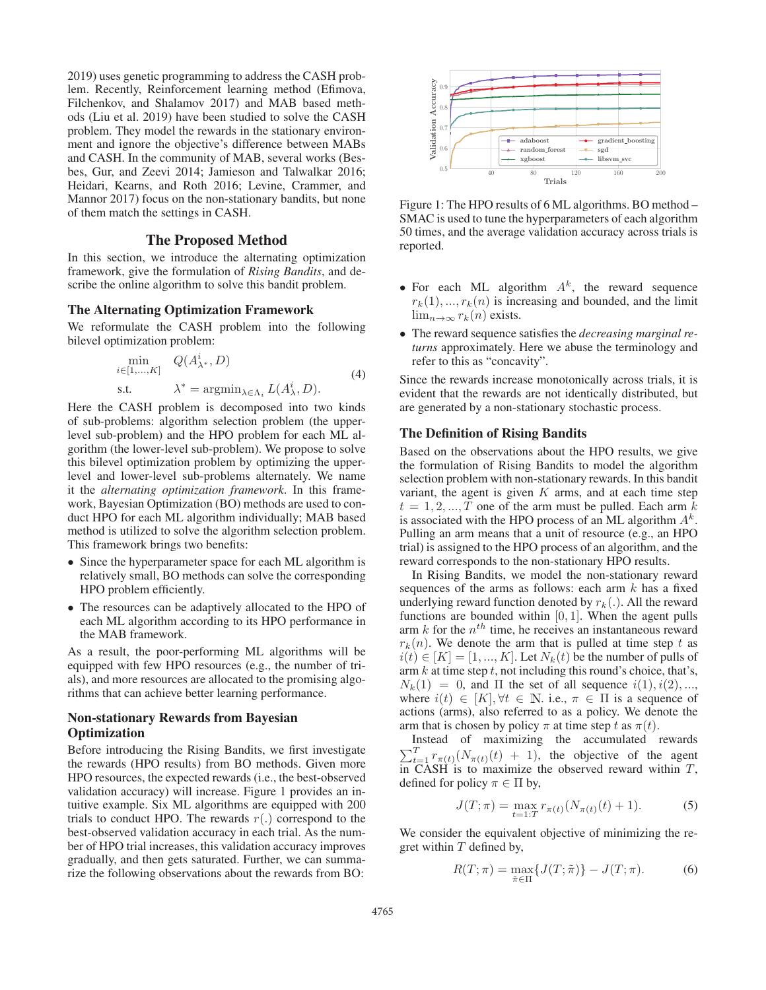2019) uses genetic programming to address the CASH problem. Recently, Reinforcement learning method (Efimova, Filchenkov, and Shalamov 2017) and MAB based methods (Liu et al. 2019) have been studied to solve the CASH problem. They model the rewards in the stationary environment and ignore the objective's difference between MABs and CASH. In the community of MAB, several works (Besbes, Gur, and Zeevi 2014; Jamieson and Talwalkar 2016; Heidari, Kearns, and Roth 2016; Levine, Crammer, and Mannor 2017) focus on the non-stationary bandits, but none of them match the settings in CASH.

#### The Proposed Method

In this section, we introduce the alternating optimization framework, give the formulation of *Rising Bandits*, and describe the online algorithm to solve this bandit problem.

#### The Alternating Optimization Framework

We reformulate the CASH problem into the following bilevel optimization problem:

$$
\min_{i \in [1,...,K]} Q(A_{\lambda^*}^i, D)
$$
\ns.t.

\n
$$
\lambda^* = \operatorname{argmin}_{\lambda \in \Lambda_i} L(A_{\lambda}^i, D).
$$
\nHere the CASH problem is decomposed into two kinds

of sub-problems: algorithm selection problem (the upperlevel sub-problem) and the HPO problem for each ML algorithm (the lower-level sub-problem). We propose to solve this bilevel optimization problem by optimizing the upperlevel and lower-level sub-problems alternately. We name it the *alternating optimization framework*. In this framework, Bayesian Optimization (BO) methods are used to conduct HPO for each ML algorithm individually; MAB based method is utilized to solve the algorithm selection problem. This framework brings two benefits:

- Since the hyperparameter space for each ML algorithm is relatively small, BO methods can solve the corresponding HPO problem efficiently.
- The resources can be adaptively allocated to the HPO of each ML algorithm according to its HPO performance in the MAB framework.

As a result, the poor-performing ML algorithms will be equipped with few HPO resources (e.g., the number of trials), and more resources are allocated to the promising algorithms that can achieve better learning performance.

# Non-stationary Rewards from Bayesian **Optimization**

Before introducing the Rising Bandits, we first investigate the rewards (HPO results) from BO methods. Given more HPO resources, the expected rewards (i.e., the best-observed validation accuracy) will increase. Figure 1 provides an intuitive example. Six ML algorithms are equipped with 200 trials to conduct HPO. The rewards  $r(.)$  correspond to the best-observed validation accuracy in each trial. As the number of HPO trial increases, this validation accuracy improves gradually, and then gets saturated. Further, we can summarize the following observations about the rewards from BO:



Figure 1: The HPO results of 6 ML algorithms. BO method – SMAC is used to tune the hyperparameters of each algorithm 50 times, and the average validation accuracy across trials is reported.

- For each ML algorithm  $A^k$ , the reward sequence  $r_k(1), ..., r_k(n)$  is increasing and bounded, and the limit  $\lim_{n\to\infty} r_k(n)$  exists.
- The reward sequence satisfies the *decreasing marginal returns* approximately. Here we abuse the terminology and refer to this as "concavity".

Since the rewards increase monotonically across trials, it is evident that the rewards are not identically distributed, but are generated by a non-stationary stochastic process.

# The Definition of Rising Bandits

Based on the observations about the HPO results, we give the formulation of Rising Bandits to model the algorithm selection problem with non-stationary rewards. In this bandit variant, the agent is given  $K$  arms, and at each time step  $t = 1, 2, ..., T$  one of the arm must be pulled. Each arm k is associated with the HPO process of an ML algorithm  $A^k$ . Pulling an arm means that a unit of resource (e.g., an HPO trial) is assigned to the HPO process of an algorithm, and the reward corresponds to the non-stationary HPO results.

In Rising Bandits, we model the non-stationary reward sequences of the arms as follows: each arm  $k$  has a fixed underlying reward function denoted by  $r_k(.)$ . All the reward functions are bounded within  $[0, 1]$ . When the agent pulls arm  $k$  for the  $n<sup>th</sup>$  time, he receives an instantaneous reward  $r_k(n)$ . We denote the arm that is pulled at time step t as  $i(t) \in [K] = [1, ..., K]$ . Let  $N_k(t)$  be the number of pulls of arm  $k$  at time step  $t$ , not including this round's choice, that's,  $N_k(1) = 0$ , and  $\Pi$  the set of all sequence  $i(1), i(2), \ldots$ , where  $i(t) \in [K], \forall t \in \mathbb{N}$ . i.e.,  $\pi \in \Pi$  is a sequence of actions (arms), also referred to as a policy. We denote the arm that is chosen by policy  $\pi$  at time step t as  $\pi(t)$ .

Instead of maximizing the accumulated rewards  $\sum_{t=1}^{T} r_{\pi(t)}(N_{\pi(t)}(t) + 1)$ , the objective of the agent<br>in CASH is to maximize the observed reward within T in CASH is to maximize the observed reward within  $T$ , defined for policy  $\pi \in \Pi$  by,

$$
J(T; \pi) = \max_{t=1:T} r_{\pi(t)}(N_{\pi(t)}(t) + 1).
$$
 (5)

We consider the equivalent objective of minimizing the regret within  $T$  defined by,

$$
R(T; \pi) = \max_{\tilde{\pi} \in \Pi} \{ J(T; \tilde{\pi}) \} - J(T; \pi). \tag{6}
$$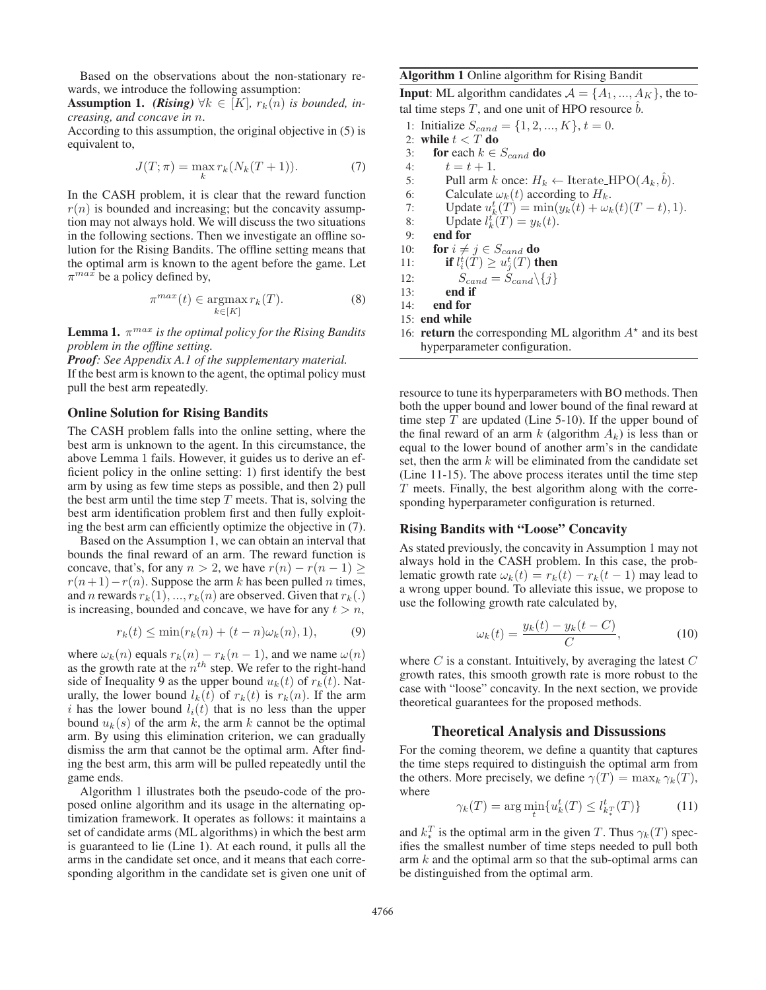Based on the observations about the non-stationary rewards, we introduce the following assumption:

Assumption 1. *(Rising)*  $\forall k \in [K]$ ,  $r_k(n)$  *is bounded, increasing, and concave in* n.

According to this assumption, the original objective in (5) is equivalent to,

$$
J(T; \pi) = \max_{k} r_k (N_k(T+1)). \tag{7}
$$

In the CASH problem, it is clear that the reward function  $r(n)$  is bounded and increasing; but the concavity assumption may not always hold. We will discuss the two situations in the following sections. Then we investigate an offline solution for the Rising Bandits. The offline setting means that the optimal arm is known to the agent before the game. Let  $\pi^{max}$  be a policy defined by,

$$
\pi^{\max}(t) \in \operatorname*{argmax}_{k \in [K]} r_k(T). \tag{8}
$$

**Lemma 1.**  $\pi^{max}$  *is the optimal policy for the Rising Bandits problem in the offline setting.*

*Proof: See Appendix A.1 of the supplementary material.*

If the best arm is known to the agent, the optimal policy must pull the best arm repeatedly.

# Online Solution for Rising Bandits

The CASH problem falls into the online setting, where the best arm is unknown to the agent. In this circumstance, the above Lemma 1 fails. However, it guides us to derive an efficient policy in the online setting: 1) first identify the best arm by using as few time steps as possible, and then 2) pull the best arm until the time step  $T$  meets. That is, solving the best arm identification problem first and then fully exploiting the best arm can efficiently optimize the objective in (7).

Based on the Assumption 1, we can obtain an interval that bounds the final reward of an arm. The reward function is concave, that's, for any  $n > 2$ , we have  $r(n) - r(n-1) \ge$  $r(n+1)-r(n)$ . Suppose the arm k has been pulled n times, and *n* rewards  $r_k(1), ..., r_k(n)$  are observed. Given that  $r_k(.)$ is increasing, bounded and concave, we have for any  $t>n$ ,

$$
r_k(t) \le \min(r_k(n) + (t - n)\omega_k(n), 1), \tag{9}
$$

where  $\omega_k(n)$  equals  $r_k(n) - r_k(n-1)$ , and we name  $\omega(n)$ as the growth rate at the  $n<sup>th</sup>$  step. We refer to the right-hand side of Inequality 9 as the upper bound  $u_k(t)$  of  $r_k(t)$ . Naturally, the lower bound  $l_k(t)$  of  $r_k(t)$  is  $r_k(n)$ . If the arm i has the lower bound  $l_i(t)$  that is no less than the upper bound  $u_k(s)$  of the arm k, the arm k cannot be the optimal arm. By using this elimination criterion, we can gradually dismiss the arm that cannot be the optimal arm. After finding the best arm, this arm will be pulled repeatedly until the game ends.

Algorithm 1 illustrates both the pseudo-code of the proposed online algorithm and its usage in the alternating optimization framework. It operates as follows: it maintains a set of candidate arms (ML algorithms) in which the best arm is guaranteed to lie (Line 1). At each round, it pulls all the arms in the candidate set once, and it means that each corresponding algorithm in the candidate set is given one unit of

# Algorithm 1 Online algorithm for Rising Bandit

**Input:** ML algorithm candidates  $A = \{A_1, ..., A_K\}$ , the total time steps T, and one unit of HPO resource  $\hat{b}$ .

- 1: Initialize  $S_{cand} = \{1, 2, ..., K\}, t = 0.$
- 2: while  $t < T$  do<br>3: for each  $k \in$
- for each  $k \in S_{cand}$  do
- 4:  $t = t + 1$ .<br>5: Pull arm k
- 5: Pull arm k once:  $H_k \leftarrow \text{Iterate\_HPO}(A_k, \hat{b})$ .<br>6: Calculate  $\omega_k(t)$  according to  $H_k$ .
- 6: Calculate  $\omega_k(t)$  according to  $H_k$ .<br>7: Update  $u_k^t(T) = \min(y_k(t) + \omega_k)$
- 7: Update  $u_k^t(T) = \min(y_k(t) + \omega_k(t)(T t), 1)$ .<br>8: Update  $l_t^t(T) = u_k(t)$
- 8: Update  $l_k^{\mathcal{F}}(T) = y_k(t)$ .<br>9. end for
- 9: end for
- 

10: **for** 
$$
i \neq j \in S_{cand}
$$
 **do**  
11: **if**  $l_i^t(T) \geq u_j^t(T)$  **then**  
 $S = S$   $\bigcup_{i} \{j\}$ 

12: 
$$
S_{cand} = S_{cand} \setminus \{j\}
$$
  
13: end if

- 13: end if
- 14: end for
- 15: end while
- 16: **return** the corresponding ML algorithm  $A^*$  and its best hyperparameter configuration.

resource to tune its hyperparameters with BO methods. Then both the upper bound and lower bound of the final reward at time step  $T$  are updated (Line 5-10). If the upper bound of the final reward of an arm  $k$  (algorithm  $A_k$ ) is less than or equal to the lower bound of another arm's in the candidate set, then the arm  $k$  will be eliminated from the candidate set (Line 11-15). The above process iterates until the time step  $T$  meets. Finally, the best algorithm along with the corresponding hyperparameter configuration is returned.

# Rising Bandits with "Loose" Concavity

As stated previously, the concavity in Assumption 1 may not always hold in the CASH problem. In this case, the problematic growth rate  $\omega_k(t) = r_k(t) - r_k(t-1)$  may lead to a wrong upper bound. To alleviate this issue, we propose to use the following growth rate calculated by,

$$
\omega_k(t) = \frac{y_k(t) - y_k(t - C)}{C},\tag{10}
$$

where  $C$  is a constant. Intuitively, by averaging the latest  $C$ growth rates, this smooth growth rate is more robust to the case with "loose" concavity. In the next section, we provide theoretical guarantees for the proposed methods.

#### Theoretical Analysis and Dissussions

For the coming theorem, we define a quantity that captures the time steps required to distinguish the optimal arm from the others. More precisely, we define  $\gamma(T) = \max_k \gamma_k(T)$ , where

$$
\gamma_k(T) = \arg\min_t \{ u_k^t(T) \le l_{k_*^T}^t(T) \} \tag{11}
$$

and  $k_{*}^{T}$  is the optimal arm in the given T. Thus  $\gamma_{k}(T)$  spec-<br>ifies the smallest number of time steps needed to pull both ifies the smallest number of time steps needed to pull both arm  $k$  and the optimal arm so that the sub-optimal arms can be distinguished from the optimal arm.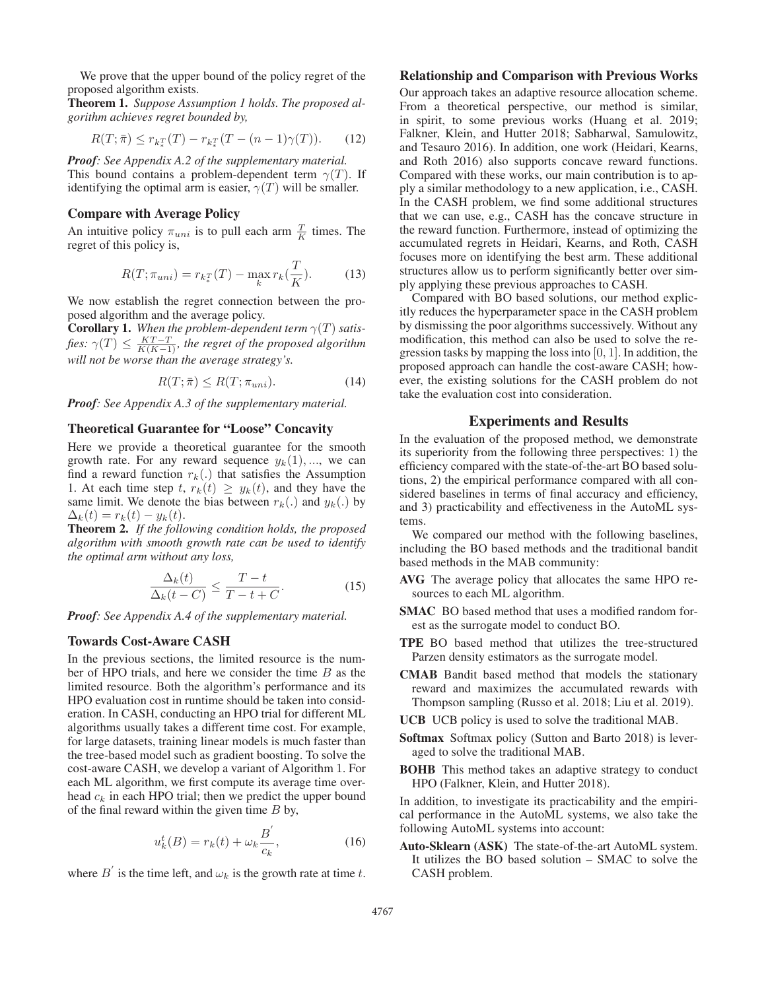We prove that the upper bound of the policy regret of the proposed algorithm exists.

Theorem 1. *Suppose Assumption 1 holds. The proposed algorithm achieves regret bounded by,*

$$
R(T; \bar{\pi}) \le r_{k_*^T}(T) - r_{k_*^T}(T - (n - 1)\gamma(T)). \tag{12}
$$

*Proof: See Appendix A.2 of the supplementary material.* This bound contains a problem-dependent term  $\gamma(T)$ . If identifying the optimal arm is easier,  $\gamma(T)$  will be smaller.

#### Compare with Average Policy

An intuitive policy  $\pi_{uni}$  is to pull each arm  $\frac{T}{K}$  times. The regret of this policy is,

$$
R(T; \pi_{uni}) = r_{k_{*}^{T}}(T) - \max_{k} r_{k}(\frac{T}{K}).
$$
 (13)

We now establish the regret connection between the proposed algorithm and the average policy.

**Corollary 1.** When the problem-dependent term  $\gamma(T)$  satis*fies:*  $\gamma(T) \leq \frac{KT-T}{KK-T}$ , *the regret of the proposed algorithm will not be worse than the average strategy's.*

$$
R(T; \bar{\pi}) \le R(T; \pi_{uni}).\tag{14}
$$

*Proof: See Appendix A.3 of the supplementary material.*

# Theoretical Guarantee for "Loose" Concavity

Here we provide a theoretical guarantee for the smooth growth rate. For any reward sequence  $y_k(1), \ldots$ , we can find a reward function  $r_k(.)$  that satisfies the Assumption 1. At each time step t,  $r_k(t) \geq y_k(t)$ , and they have the same limit. We denote the bias between  $r_k(.)$  and  $y_k(.)$  by  $\Delta_k(t) = r_k(t) - y_k(t).$ 

Theorem 2. *If the following condition holds, the proposed algorithm with smooth growth rate can be used to identify the optimal arm without any loss,*

$$
\frac{\Delta_k(t)}{\Delta_k(t-C)} \le \frac{T-t}{T-t+C}.\tag{15}
$$

*Proof: See Appendix A.4 of the supplementary material.*

# Towards Cost-Aware CASH

In the previous sections, the limited resource is the number of HPO trials, and here we consider the time  $B$  as the limited resource. Both the algorithm's performance and its HPO evaluation cost in runtime should be taken into consideration. In CASH, conducting an HPO trial for different ML algorithms usually takes a different time cost. For example, for large datasets, training linear models is much faster than the tree-based model such as gradient boosting. To solve the cost-aware CASH, we develop a variant of Algorithm 1. For each ML algorithm, we first compute its average time overhead  $c_k$  in each HPO trial; then we predict the upper bound of the final reward within the given time  $B$  by,

$$
u_k^t(B) = r_k(t) + \omega_k \frac{B'}{c_k},\tag{16}
$$

where  $B'$  is the time left, and  $\omega_k$  is the growth rate at time t.

### Relationship and Comparison with Previous Works

Our approach takes an adaptive resource allocation scheme. From a theoretical perspective, our method is similar, in spirit, to some previous works (Huang et al. 2019; Falkner, Klein, and Hutter 2018; Sabharwal, Samulowitz, and Tesauro 2016). In addition, one work (Heidari, Kearns, and Roth 2016) also supports concave reward functions. Compared with these works, our main contribution is to apply a similar methodology to a new application, i.e., CASH. In the CASH problem, we find some additional structures that we can use, e.g., CASH has the concave structure in the reward function. Furthermore, instead of optimizing the accumulated regrets in Heidari, Kearns, and Roth, CASH focuses more on identifying the best arm. These additional structures allow us to perform significantly better over simply applying these previous approaches to CASH.

Compared with BO based solutions, our method explicitly reduces the hyperparameter space in the CASH problem by dismissing the poor algorithms successively. Without any modification, this method can also be used to solve the regression tasks by mapping the loss into [0, 1]. In addition, the proposed approach can handle the cost-aware CASH; however, the existing solutions for the CASH problem do not take the evaluation cost into consideration.

#### Experiments and Results

In the evaluation of the proposed method, we demonstrate its superiority from the following three perspectives: 1) the efficiency compared with the state-of-the-art BO based solutions, 2) the empirical performance compared with all considered baselines in terms of final accuracy and efficiency, and 3) practicability and effectiveness in the AutoML systems.

We compared our method with the following baselines, including the BO based methods and the traditional bandit based methods in the MAB community:

- AVG The average policy that allocates the same HPO resources to each ML algorithm.
- SMAC BO based method that uses a modified random forest as the surrogate model to conduct BO.
- TPE BO based method that utilizes the tree-structured Parzen density estimators as the surrogate model.
- CMAB Bandit based method that models the stationary reward and maximizes the accumulated rewards with Thompson sampling (Russo et al. 2018; Liu et al. 2019).
- UCB UCB policy is used to solve the traditional MAB.
- Softmax Softmax policy (Sutton and Barto 2018) is leveraged to solve the traditional MAB.
- BOHB This method takes an adaptive strategy to conduct HPO (Falkner, Klein, and Hutter 2018).

In addition, to investigate its practicability and the empirical performance in the AutoML systems, we also take the following AutoML systems into account:

Auto-Sklearn (ASK) The state-of-the-art AutoML system. It utilizes the BO based solution – SMAC to solve the CASH problem.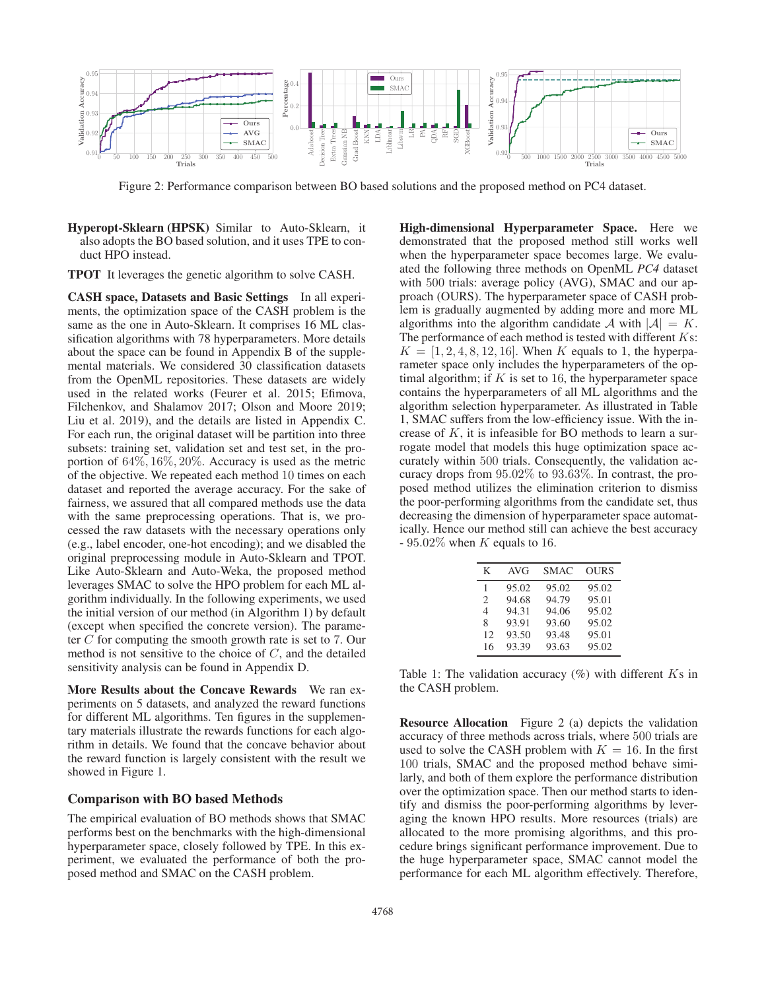

Figure 2: Performance comparison between BO based solutions and the proposed method on PC4 dataset.

Hyperopt-Sklearn (HPSK) Similar to Auto-Sklearn, it also adopts the BO based solution, and it uses TPE to conduct HPO instead.

TPOT It leverages the genetic algorithm to solve CASH.

CASH space, Datasets and Basic Settings In all experiments, the optimization space of the CASH problem is the same as the one in Auto-Sklearn. It comprises 16 ML classification algorithms with 78 hyperparameters. More details about the space can be found in Appendix B of the supplemental materials. We considered 30 classification datasets from the OpenML repositories. These datasets are widely used in the related works (Feurer et al. 2015; Efimova, Filchenkov, and Shalamov 2017; Olson and Moore 2019; Liu et al. 2019), and the details are listed in Appendix C. For each run, the original dataset will be partition into three subsets: training set, validation set and test set, in the proportion of 64%, 16%, 20%. Accuracy is used as the metric of the objective. We repeated each method 10 times on each dataset and reported the average accuracy. For the sake of fairness, we assured that all compared methods use the data with the same preprocessing operations. That is, we processed the raw datasets with the necessary operations only (e.g., label encoder, one-hot encoding); and we disabled the original preprocessing module in Auto-Sklearn and TPOT. Like Auto-Sklearn and Auto-Weka, the proposed method leverages SMAC to solve the HPO problem for each ML algorithm individually. In the following experiments, we used the initial version of our method (in Algorithm 1) by default (except when specified the concrete version). The parameter  $C$  for computing the smooth growth rate is set to  $7$ . Our method is not sensitive to the choice of  $C$ , and the detailed sensitivity analysis can be found in Appendix D.

More Results about the Concave Rewards We ran experiments on 5 datasets, and analyzed the reward functions for different ML algorithms. Ten figures in the supplementary materials illustrate the rewards functions for each algorithm in details. We found that the concave behavior about the reward function is largely consistent with the result we showed in Figure 1.

# Comparison with BO based Methods

The empirical evaluation of BO methods shows that SMAC performs best on the benchmarks with the high-dimensional hyperparameter space, closely followed by TPE. In this experiment, we evaluated the performance of both the proposed method and SMAC on the CASH problem.

High-dimensional Hyperparameter Space. Here we demonstrated that the proposed method still works well when the hyperparameter space becomes large. We evaluated the following three methods on OpenML *PC4* dataset with 500 trials: average policy (AVG), SMAC and our approach (OURS). The hyperparameter space of CASH problem is gradually augmented by adding more and more ML algorithms into the algorithm candidate A with  $|A| = K$ . The performance of each method is tested with different Ks:  $K = [1, 2, 4, 8, 12, 16]$ . When K equals to 1, the hyperparameter space only includes the hyperparameters of the optimal algorithm; if  $K$  is set to 16, the hyperparameter space contains the hyperparameters of all ML algorithms and the algorithm selection hyperparameter. As illustrated in Table 1, SMAC suffers from the low-efficiency issue. With the increase of  $K$ , it is infeasible for BO methods to learn a surrogate model that models this huge optimization space accurately within 500 trials. Consequently, the validation accuracy drops from 95.02% to 93.63%. In contrast, the proposed method utilizes the elimination criterion to dismiss the poor-performing algorithms from the candidate set, thus decreasing the dimension of hyperparameter space automatically. Hence our method still can achieve the best accuracy - 95.02% when  $K$  equals to 16.

| K  | <b>AVG</b> | <b>SMAC</b> | <b>OURS</b> |
|----|------------|-------------|-------------|
|    | 95.02      | 95.02       | 95.02       |
| 2  | 94.68      | 94.79       | 95.01       |
| 4  | 94.31      | 94.06       | 95.02       |
| 8  | 93.91      | 93.60       | 95.02       |
| 12 | 93.50      | 93.48       | 95.01       |
| 16 | 93.39      | 93.63       | 95.02       |

Table 1: The validation accuracy  $(\%)$  with different Ks in the CASH problem.

Resource Allocation Figure 2 (a) depicts the validation accuracy of three methods across trials, where 500 trials are used to solve the CASH problem with  $K = 16$ . In the first 100 trials, SMAC and the proposed method behave similarly, and both of them explore the performance distribution over the optimization space. Then our method starts to identify and dismiss the poor-performing algorithms by leveraging the known HPO results. More resources (trials) are allocated to the more promising algorithms, and this procedure brings significant performance improvement. Due to the huge hyperparameter space, SMAC cannot model the performance for each ML algorithm effectively. Therefore,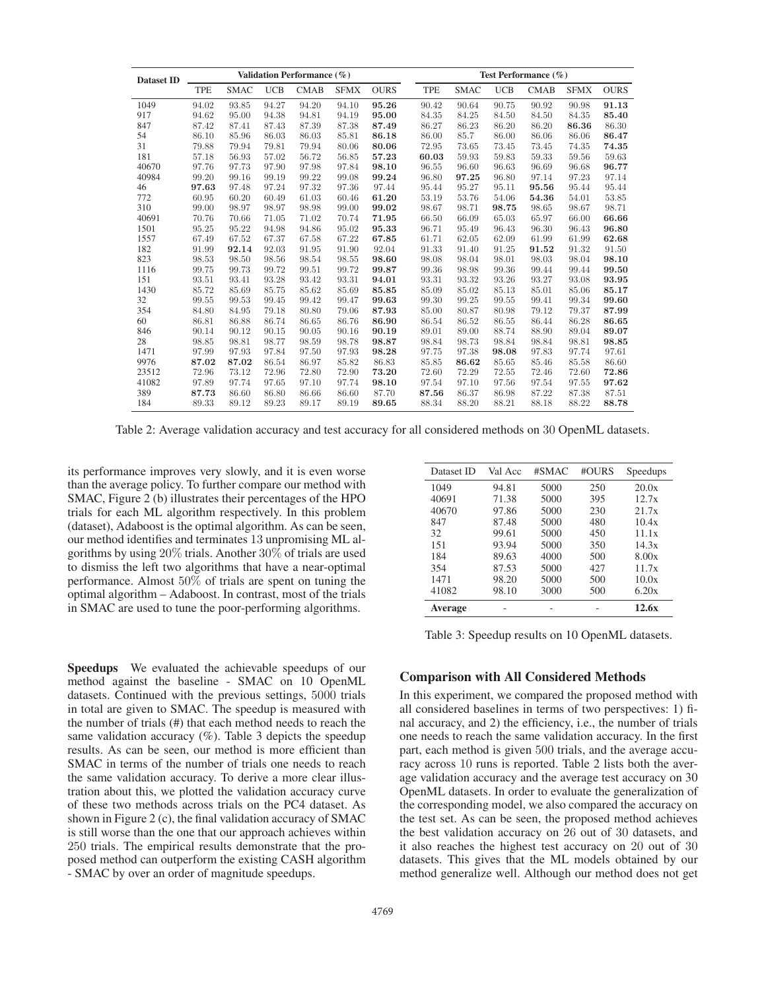| <b>Dataset ID</b> | Validation Performance (%) |             |            |             | Test Performance (%) |             |            |             |            |             |             |             |
|-------------------|----------------------------|-------------|------------|-------------|----------------------|-------------|------------|-------------|------------|-------------|-------------|-------------|
|                   | <b>TPE</b>                 | <b>SMAC</b> | <b>UCB</b> | <b>CMAB</b> | <b>SFMX</b>          | <b>OURS</b> | <b>TPE</b> | <b>SMAC</b> | <b>UCB</b> | <b>CMAB</b> | <b>SFMX</b> | <b>OURS</b> |
| 1049              | 94.02                      | 93.85       | 94.27      | 94.20       | 94.10                | 95.26       | 90.42      | 90.64       | 90.75      | 90.92       | 90.98       | 91.13       |
| 917               | 94.62                      | 95.00       | 94.38      | 94.81       | 94.19                | 95.00       | 84.35      | 84.25       | 84.50      | 84.50       | 84.35       | 85.40       |
| 847               | 87.42                      | 87.41       | 87.43      | 87.39       | 87.38                | 87.49       | 86.27      | 86.23       | 86.20      | 86.20       | 86.36       | 86.30       |
| 54                | 86.10                      | 85.96       | 86.03      | 86.03       | 85.81                | 86.18       | 86.00      | 85.7        | 86.00      | 86.06       | 86.06       | 86.47       |
| 31                | 79.88                      | 79.94       | 79.81      | 79.94       | 80.06                | 80.06       | 72.95      | 73.65       | 73.45      | 73.45       | 74.35       | 74.35       |
| 181               | 57.18                      | 56.93       | 57.02      | 56.72       | 56.85                | 57.23       | 60.03      | 59.93       | 59.83      | 59.33       | 59.56       | 59.63       |
| 40670             | 97.76                      | 97.73       | 97.90      | 97.98       | 97.84                | 98.10       | 96.55      | 96.60       | 96.63      | 96.69       | 96.68       | 96.77       |
| 40984             | 99.20                      | 99.16       | 99.19      | 99.22       | 99.08                | 99.24       | 96.80      | 97.25       | 96.80      | 97.14       | 97.23       | 97.14       |
| 46                | 97.63                      | 97.48       | 97.24      | 97.32       | 97.36                | 97.44       | 95.44      | 95.27       | 95.11      | 95.56       | 95.44       | 95.44       |
| 772               | 60.95                      | 60.20       | 60.49      | 61.03       | 60.46                | 61.20       | 53.19      | 53.76       | 54.06      | 54.36       | 54.01       | 53.85       |
| 310               | 99.00                      | 98.97       | 98.97      | 98.98       | 99.00                | 99.02       | 98.67      | 98.71       | 98.75      | 98.65       | 98.67       | 98.71       |
| 40691             | 70.76                      | 70.66       | 71.05      | 71.02       | 70.74                | 71.95       | 66.50      | 66.09       | 65.03      | 65.97       | 66.00       | 66.66       |
| 1501              | 95.25                      | 95.22       | 94.98      | 94.86       | 95.02                | 95.33       | 96.71      | 95.49       | 96.43      | 96.30       | 96.43       | 96.80       |
| 1557              | 67.49                      | 67.52       | 67.37      | 67.58       | 67.22                | 67.85       | 61.71      | 62.05       | 62.09      | 61.99       | 61.99       | 62.68       |
| 182               | 91.99                      | 92.14       | 92.03      | 91.95       | 91.90                | 92.04       | 91.33      | 91.40       | 91.25      | 91.52       | 91.32       | 91.50       |
| 823               | 98.53                      | 98.50       | 98.56      | 98.54       | 98.55                | 98.60       | 98.08      | 98.04       | 98.01      | 98.03       | 98.04       | 98.10       |
| 1116              | 99.75                      | 99.73       | 99.72      | 99.51       | 99.72                | 99.87       | 99.36      | 98.98       | 99.36      | 99.44       | 99.44       | 99.50       |
| 151               | 93.51                      | 93.41       | 93.28      | 93.42       | 93.31                | 94.01       | 93.31      | 93.32       | 93.26      | 93.27       | 93.08       | 93.95       |
| 1430              | 85.72                      | 85.69       | 85.75      | 85.62       | 85.69                | 85.85       | 85.09      | 85.02       | 85.13      | 85.01       | 85.06       | 85.17       |
| 32                | 99.55                      | 99.53       | 99.45      | 99.42       | 99.47                | 99.63       | 99.30      | 99.25       | 99.55      | 99.41       | 99.34       | 99.60       |
| 354               | 84.80                      | 84.95       | 79.18      | 80.80       | 79.06                | 87.93       | 85.00      | 80.87       | 80.98      | 79.12       | 79.37       | 87.99       |
| 60                | 86.81                      | 86.88       | 86.74      | 86.65       | 86.76                | 86.90       | 86.54      | 86.52       | 86.55      | 86.44       | 86.28       | 86.65       |
| 846               | 90.14                      | 90.12       | 90.15      | 90.05       | 90.16                | 90.19       | 89.01      | 89.00       | 88.74      | 88.90       | 89.04       | 89.07       |
| 28                | 98.85                      | 98.81       | 98.77      | 98.59       | 98.78                | 98.87       | 98.84      | 98.73       | 98.84      | 98.84       | 98.81       | 98.85       |
| 1471              | 97.99                      | 97.93       | 97.84      | 97.50       | 97.93                | 98.28       | 97.75      | 97.38       | 98.08      | 97.83       | 97.74       | 97.61       |
| 9976              | 87.02                      | 87.02       | 86.54      | 86.97       | 85.82                | 86.83       | 85.85      | 86.62       | 85.65      | 85.46       | 85.58       | 86.60       |
| 23512             | 72.96                      | 73.12       | 72.96      | 72.80       | 72.90                | 73.20       | 72.60      | 72.29       | 72.55      | 72.46       | 72.60       | 72.86       |
| 41082             | 97.89                      | 97.74       | 97.65      | 97.10       | 97.74                | 98.10       | 97.54      | 97.10       | 97.56      | 97.54       | 97.55       | 97.62       |
| 389               | 87.73                      | 86.60       | 86.80      | 86.66       | 86.60                | 87.70       | 87.56      | 86.37       | 86.98      | 87.22       | 87.38       | 87.51       |
| 184               | 89.33                      | 89.12       | 89.23      | 89.17       | 89.19                | 89.65       | 88.34      | 88.20       | 88.21      | 88.18       | 88.22       | 88.78       |

Table 2: Average validation accuracy and test accuracy for all considered methods on 30 OpenML datasets.

its performance improves very slowly, and it is even worse than the average policy. To further compare our method with SMAC, Figure 2 (b) illustrates their percentages of the HPO trials for each ML algorithm respectively. In this problem (dataset), Adaboost is the optimal algorithm. As can be seen, our method identifies and terminates 13 unpromising ML algorithms by using 20% trials. Another 30% of trials are used to dismiss the left two algorithms that have a near-optimal performance. Almost 50% of trials are spent on tuning the optimal algorithm – Adaboost. In contrast, most of the trials in SMAC are used to tune the poor-performing algorithms.

Speedups We evaluated the achievable speedups of our method against the baseline - SMAC on 10 OpenML datasets. Continued with the previous settings, 5000 trials in total are given to SMAC. The speedup is measured with the number of trials (#) that each method needs to reach the same validation accuracy  $(\%)$ . Table 3 depicts the speedup results. As can be seen, our method is more efficient than SMAC in terms of the number of trials one needs to reach the same validation accuracy. To derive a more clear illustration about this, we plotted the validation accuracy curve of these two methods across trials on the PC4 dataset. As shown in Figure 2 (c), the final validation accuracy of SMAC is still worse than the one that our approach achieves within 250 trials. The empirical results demonstrate that the proposed method can outperform the existing CASH algorithm - SMAC by over an order of magnitude speedups.

| Dataset ID     | Val Acc | #SMAC | #OURS | Speedups |
|----------------|---------|-------|-------|----------|
| 1049           | 94.81   | 5000  | 250   | 20.0x    |
| 40691          | 71.38   | 5000  | 395   | 12.7x    |
| 40670          | 97.86   | 5000  | 230   | 21.7x    |
| 847            | 87.48   | 5000  | 480   | 10.4x    |
| 32             | 99.61   | 5000  | 450   | 11.1x    |
| 151            | 93.94   | 5000  | 350   | 14.3x    |
| 184            | 89.63   | 4000  | 500   | 8.00x    |
| 354            | 87.53   | 5000  | 427   | 11.7x    |
| 1471           | 98.20   | 5000  | 500   | 10.0x    |
| 41082          | 98.10   | 3000  | 500   | 6.20x    |
| <b>Average</b> |         |       |       | 12.6x    |

Table 3: Speedup results on 10 OpenML datasets.

#### Comparison with All Considered Methods

In this experiment, we compared the proposed method with all considered baselines in terms of two perspectives: 1) final accuracy, and 2) the efficiency, i.e., the number of trials one needs to reach the same validation accuracy. In the first part, each method is given 500 trials, and the average accuracy across 10 runs is reported. Table 2 lists both the average validation accuracy and the average test accuracy on 30 OpenML datasets. In order to evaluate the generalization of the corresponding model, we also compared the accuracy on the test set. As can be seen, the proposed method achieves the best validation accuracy on 26 out of 30 datasets, and it also reaches the highest test accuracy on 20 out of 30 datasets. This gives that the ML models obtained by our method generalize well. Although our method does not get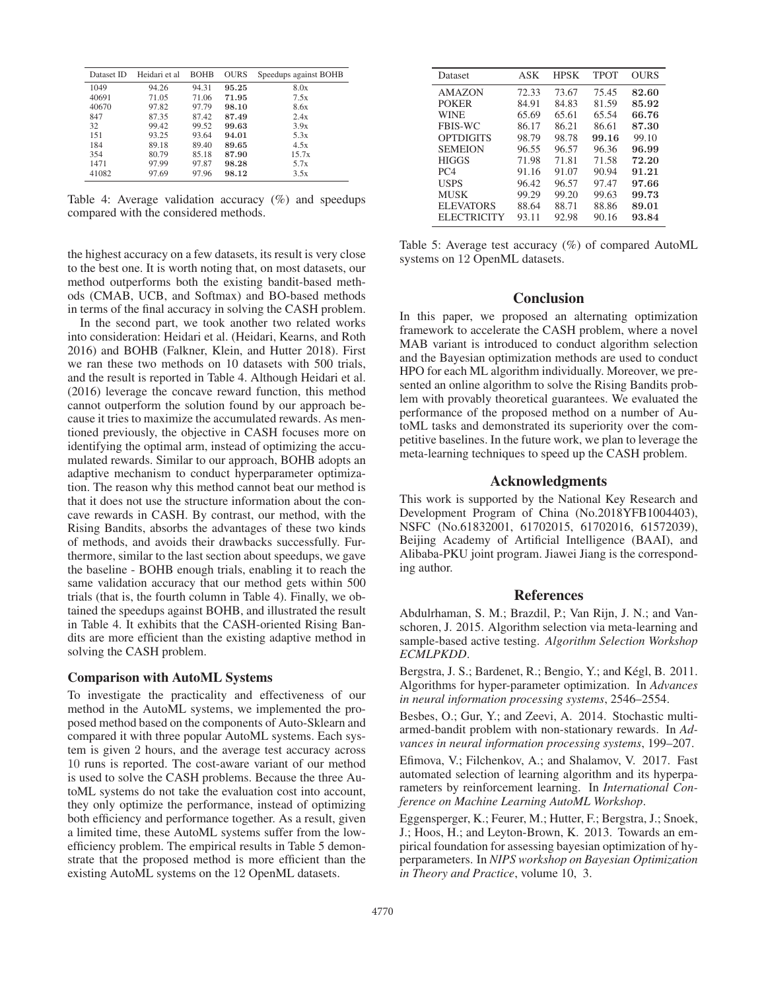| Dataset ID | Heidari et al | <b>BOHB</b> | <b>OURS</b> | Speedups against BOHB |
|------------|---------------|-------------|-------------|-----------------------|
| 1049       | 94.26         | 94.31       | 95.25       | 8.0x                  |
| 40691      | 71.05         | 71.06       | 71.95       | 7.5x                  |
| 40670      | 97.82         | 97.79       | 98.10       | 8.6x                  |
| 847        | 87.35         | 87.42       | 87.49       | 2.4x                  |
| 32         | 99.42         | 99.52       | 99.63       | 3.9x                  |
| 151        | 93.25         | 93.64       | 94.01       | 5.3x                  |
| 184        | 89.18         | 89.40       | 89.65       | 4.5x                  |
| 354        | 80.79         | 85.18       | 87.90       | 15.7x                 |
| 1471       | 97.99         | 97.87       | 98.28       | 5.7x                  |
| 41082      | 97.69         | 97.96       | 98.12       | 3.5x                  |

Table 4: Average validation accuracy (%) and speedups compared with the considered methods.

the highest accuracy on a few datasets, its result is very close to the best one. It is worth noting that, on most datasets, our method outperforms both the existing bandit-based methods (CMAB, UCB, and Softmax) and BO-based methods in terms of the final accuracy in solving the CASH problem.

In the second part, we took another two related works into consideration: Heidari et al. (Heidari, Kearns, and Roth 2016) and BOHB (Falkner, Klein, and Hutter 2018). First we ran these two methods on 10 datasets with 500 trials, and the result is reported in Table 4. Although Heidari et al. (2016) leverage the concave reward function, this method cannot outperform the solution found by our approach because it tries to maximize the accumulated rewards. As mentioned previously, the objective in CASH focuses more on identifying the optimal arm, instead of optimizing the accumulated rewards. Similar to our approach, BOHB adopts an adaptive mechanism to conduct hyperparameter optimization. The reason why this method cannot beat our method is that it does not use the structure information about the concave rewards in CASH. By contrast, our method, with the Rising Bandits, absorbs the advantages of these two kinds of methods, and avoids their drawbacks successfully. Furthermore, similar to the last section about speedups, we gave the baseline - BOHB enough trials, enabling it to reach the same validation accuracy that our method gets within 500 trials (that is, the fourth column in Table 4). Finally, we obtained the speedups against BOHB, and illustrated the result in Table 4. It exhibits that the CASH-oriented Rising Bandits are more efficient than the existing adaptive method in solving the CASH problem.

#### Comparison with AutoML Systems

To investigate the practicality and effectiveness of our method in the AutoML systems, we implemented the proposed method based on the components of Auto-Sklearn and compared it with three popular AutoML systems. Each system is given 2 hours, and the average test accuracy across 10 runs is reported. The cost-aware variant of our method is used to solve the CASH problems. Because the three AutoML systems do not take the evaluation cost into account, they only optimize the performance, instead of optimizing both efficiency and performance together. As a result, given a limited time, these AutoML systems suffer from the lowefficiency problem. The empirical results in Table 5 demonstrate that the proposed method is more efficient than the existing AutoML systems on the 12 OpenML datasets.

| Dataset            | ASK   | <b>HPSK</b> | <b>TPOT</b> | <b>OURS</b> |
|--------------------|-------|-------------|-------------|-------------|
| <b>AMAZON</b>      | 72.33 | 73.67       | 75.45       | 82.60       |
| <b>POKER</b>       | 84.91 | 84.83       | 81.59       | 85.92       |
| <b>WINE</b>        | 65.69 | 65.61       | 65.54       | 66.76       |
| <b>FBIS-WC</b>     | 86.17 | 86.21       | 86.61       | 87.30       |
| <b>OPTDIGITS</b>   | 98.79 | 98.78       | 99.16       | 99.10       |
| <b>SEMEION</b>     | 96.55 | 96.57       | 96.36       | 96.99       |
| <b>HIGGS</b>       | 71.98 | 71.81       | 71.58       | 72.20       |
| PC <sub>4</sub>    | 91.16 | 91.07       | 90.94       | 91.21       |
| <b>USPS</b>        | 96.42 | 96.57       | 97.47       | 97.66       |
| <b>MUSK</b>        | 99.29 | 99.20       | 99.63       | 99.73       |
| <b>ELEVATORS</b>   | 88.64 | 88.71       | 88.86       | 89.01       |
| <b>ELECTRICITY</b> | 93.11 | 92.98       | 90.16       | 93.84       |

Table 5: Average test accuracy (%) of compared AutoML systems on 12 OpenML datasets.

### **Conclusion**

In this paper, we proposed an alternating optimization framework to accelerate the CASH problem, where a novel MAB variant is introduced to conduct algorithm selection and the Bayesian optimization methods are used to conduct HPO for each ML algorithm individually. Moreover, we presented an online algorithm to solve the Rising Bandits problem with provably theoretical guarantees. We evaluated the performance of the proposed method on a number of AutoML tasks and demonstrated its superiority over the competitive baselines. In the future work, we plan to leverage the meta-learning techniques to speed up the CASH problem.

## Acknowledgments

This work is supported by the National Key Research and Development Program of China (No.2018YFB1004403), NSFC (No.61832001, 61702015, 61702016, 61572039), Beijing Academy of Artificial Intelligence (BAAI), and Alibaba-PKU joint program. Jiawei Jiang is the corresponding author.

#### References

Abdulrhaman, S. M.; Brazdil, P.; Van Rijn, J. N.; and Vanschoren, J. 2015. Algorithm selection via meta-learning and sample-based active testing. *Algorithm Selection Workshop ECMLPKDD*.

Bergstra, J. S.; Bardenet, R.; Bengio, Y.; and Kégl, B. 2011. Algorithms for hyper-parameter optimization. In *Advances in neural information processing systems*, 2546–2554.

Besbes, O.; Gur, Y.; and Zeevi, A. 2014. Stochastic multiarmed-bandit problem with non-stationary rewards. In *Advances in neural information processing systems*, 199–207.

Efimova, V.; Filchenkov, A.; and Shalamov, V. 2017. Fast automated selection of learning algorithm and its hyperparameters by reinforcement learning. In *International Conference on Machine Learning AutoML Workshop*.

Eggensperger, K.; Feurer, M.; Hutter, F.; Bergstra, J.; Snoek, J.; Hoos, H.; and Leyton-Brown, K. 2013. Towards an empirical foundation for assessing bayesian optimization of hyperparameters. In *NIPS workshop on Bayesian Optimization in Theory and Practice*, volume 10, 3.